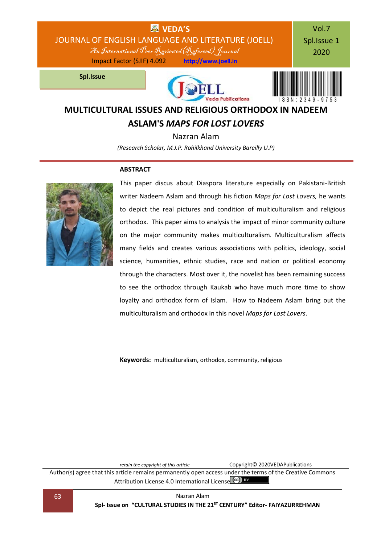

## **ASLAM'S** *MAPS FOR LOST LOVERS*

Nazran Alam *(Research Scholar, M.J.P. Rohilkhand University Bareilly U.P)*

#### **ABSTRACT**



This paper discus about Diaspora literature especially on Pakistani-British writer Nadeem Aslam and through his fiction *Maps for Lost Lovers,* he wants to depict the real pictures and condition of multiculturalism and religious orthodox. This paper aims to analysis the impact of minor community culture on the major community makes multiculturalism. Multiculturalism affects many fields and creates various associations with politics, ideology, social science, humanities, ethnic studies, race and nation or political economy through the characters. Most over it, the novelist has been remaining success to see the orthodox through Kaukab who have much more time to show loyalty and orthodox form of Islam. How to Nadeem Aslam bring out the multiculturalism and orthodox in this novel *Maps for Lost Lovers*.

**Keywords:** multiculturalism, orthodox, community, religious

*retain the copyright of this article* Copyright© 2020VEDAPublications

Author(s) agree that this article remains permanently open access under the terms of the Creative Commons Attribution Lic[e](http://creativecommons.org/licenses/by/4.0/)nse 4.0 International License (cc) BY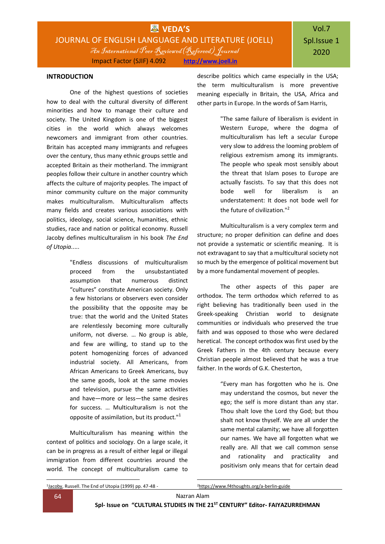#### **INTRODUCTION**

One of the highest questions of societies how to deal with the cultural diversity of different minorities and how to manage their culture and society. The United Kingdom is one of the biggest cities in the world which always welcomes newcomers and immigrant from other countries. Britain has accepted many immigrants and refugees over the century, thus many ethnic groups settle and accepted Britain as their motherland. The immigrant peoples follow their culture in another country which affects the culture of majority peoples. The impact of minor community culture on the major community makes multiculturalism. Multiculturalism affects many fields and creates various associations with politics, ideology, social science, humanities, ethnic studies, race and nation or political economy. Russell Jacoby defines multiculturalism in his book *The End of Utopia*.....

> "Endless discussions of multiculturalism proceed from the unsubstantiated assumption that numerous distinct "cultures" constitute American society. Only a few historians or observers even consider the possibility that the opposite may be true: that the world and the United States are relentlessly becoming more culturally uniform, not diverse. … No group is able, and few are willing, to stand up to the potent homogenizing forces of advanced industrial society. All Americans, from African Americans to Greek Americans, buy the same goods, look at the same movies and television, pursue the same activities and have—more or less—the same desires for success. … Multiculturalism is not the opposite of assimilation, but its product."<sup>1</sup>

Multiculturalism has meaning within the context of politics and sociology. On a large scale, it can be in progress as a result of either legal or illegal immigration from different countries around the world. The concept of multiculturalism came to

describe politics which came especially in the USA; the term multiculturalism is more preventive meaning especially in Britain, the USA, Africa and other parts in Europe. In the words of Sam Harris,

> "The same failure of liberalism is evident in Western Europe, where the dogma of multiculturalism has left a secular Europe very slow to address the looming problem of religious extremism among its immigrants. The people who speak most sensibly about the threat that Islam poses to Europe are actually fascists. To say that this does not bode well for liberalism is an understatement: It does not bode well for the future of civilization."<sup>2</sup>

Multiculturalism is a very complex term and structure; no proper definition can define and does not provide a systematic or scientific meaning. It is not extravagant to say that a multicultural society not so much by the emergence of political movement but by a more fundamental movement of peoples.

The other aspects of this paper are orthodox. The term orthodox which referred to as right believing has traditionally been used in the Greek-speaking Christian world to designate communities or individuals who preserved the true faith and was opposed to those who were declared heretical. The concept orthodox was first used by the Greek Fathers in the 4th century because every Christian people almost believed that he was a true faither. In the words of G.K. Chesterton,

> "Every man has forgotten who he is. One may understand the cosmos, but never the ego; the self is more distant than any star. Thou shalt love the Lord thy God; but thou shalt not know thyself. We are all under the same mental calamity; we have all forgotten our names. We have all forgotten what we really are. All that we call common sense and rationality and practicality and positivism only means that for certain dead

2<https://www.f4thoughts.org/a-berlin-guide>

**.** 

**.** 

<sup>1</sup>**Jacoby**, Russell. The End of Utopia (1999) pp. 47-48 -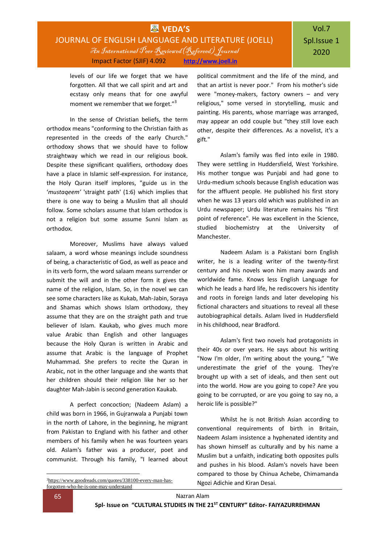### **WEDA'S** JOURNAL OF ENGLISH LANGUAGE AND LITERATURE (JOELL) An International Peer Reviewed(Refereed) Journal Impact Factor (SJIF) 4.092 **[http://www.joell.in](http://www.joell.in/)**

levels of our life we forget that we have forgotten. All that we call spirit and art and ecstasy only means that for one awyful moment we remember that we forget."<sup>3</sup>

In the sense of Christian beliefs, the term orthodox means "conforming to the Christian faith as represented in the creeds of the early Church." orthodoxy shows that we should have to follow straightway which we read in our religious book. Despite these significant qualifiers, orthodoxy does have a place in Islamic self-expression. For instance, the Holy Quran itself implores, "guide us in the '*mustaqeem'* 'straight path' (1:6) which implies that there is one way to being a Muslim that all should follow. Some scholars assume that Islam orthodox is not a religion but some assume Sunni Islam as orthodox.

Moreover, Muslims have always valued salaam, a word whose meanings include soundness of being, a characteristic of God, as well as peace and in its verb form, the word salaam means surrender or submit the will and in the other form it gives the name of the religion, Islam. So, in the novel we can see some characters like as Kukab, Mah-Jabin, Soraya and Shamas which shows Islam orthodoxy, they assume that they are on the straight path and true believer of Islam. Kaukab, who gives much more value Arabic than English and other languages because the Holy Quran is written in Arabic and assume that Arabic is the language of Prophet Muhammad. She prefers to recite the Quran in Arabic, not in the other language and she wants that her children should their religion like her so her daughter Mah-Jabin is second generation Kaukab.

A perfect concoction; (Nadeem Aslam) a child was born in 1966, in Gujranwala a Punjabi town in the north of Lahore, in the beginning, he migrant from Pakistan to England with his father and other members of his family when he was fourteen years old. Aslam's father was a producer, poet and communist. Through his family, "I learned about

political commitment and the life of the mind, and that an artist is never poor." From his mother's side were "money-makers, factory owners – and very religious," some versed in storytelling, music and painting. His parents, whose marriage was arranged, may appear an odd couple but "they still love each other, despite their differences. As a novelist, it's a gift."

Aslam's family was fled into exile in 1980. They were settling in Huddersfield, West Yorkshire. His mother tongue was Punjabi and had gone to Urdu-medium schools because English education was for the affluent people. He published his first story when he was 13 years old which was published in an Urdu newspaper; Urdu literature remains his "first point of reference". He was excellent in the Science, studied biochemistry at the University of Manchester.

Nadeem Aslam is a Pakistani born English writer, he is a leading writer of the twenty-first century and his novels won him many awards and worldwide fame. Knows less English Language for which he leads a hard life, he rediscovers his identity and roots in foreign lands and later developing his fictional characters and situations to reveal all these autobiographical details. Aslam lived in Huddersfield in his childhood, near Bradford.

Aslam's first two novels had protagonists in their 40s or over years. He says about his writing "Now I'm older, I'm writing about the young," "We underestimate the grief of the young. They're brought up with a set of ideals, and then sent out into the world. How are you going to cope? Are you going to be corrupted, or are you going to say no, a heroic life is possible?"

Whilst he is not British Asian according to conventional requirements of birth in Britain, Nadeem Aslam insistence a hyphenated identity and has shown himself as culturally and by his name a Muslim but a unfaith, indicating both opposites pulls and pushes in his blood. Aslam's novels have been compared to those by Chinua Achebe, Chimamanda Ngozi Adichie and Kiran Desai.

**.** 

<sup>3</sup>[https://www.goodreads.com/quotes/338100-every-man-has](https://www.goodreads.com/quotes/338100-every-man-has-forgotten-who-he-is-one-may-understand)[forgotten-who-he-is-one-may-understand](https://www.goodreads.com/quotes/338100-every-man-has-forgotten-who-he-is-one-may-understand)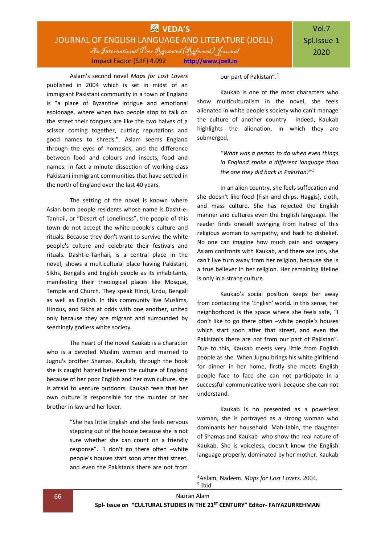Aslam's second novel *Maps for Lost Lovers* published in 2004 which is set in midst of an immigrant Pakistani community in a town of England is "a place of Byzantine intrigue and emotional espionage, where when two people stop to talk on the street their tongues are like the two halves of a scissor coming together, cutting reputations and good names to shreds.". Aslam seems England through the eyes of homesick, and the difference between food and colours and insects, food and names. In fact a minute dissection of working-class Pakistani immigrant communities that have settled in the north of England over the last 40 years.

The setting of the novel is known where Asian born people residents whose name is Dasht-e-Tanhaii, or "Desert of Loneliness", the people of this town do not accept the white people's culture and rituals. Because they don't want to survive the white people's culture and celebrate their festivals and rituals. Dasht-e-Tanhaii, is a central place in the novel, shows a multicultural place having Pakistani, Sikhs, Bengalis and English people as its inhabitants, manifesting their theological places like Mosque, Temple and Church. They speak Hindi, Urdu, Bengali as well as English. In this community live Muslims, Hindus, and Sikhs at odds with one another, united only because they are migrant and surrounded by seemingly godless white society.

The heart of the novel Kaukab is a character who is a devoted Muslim woman and married to Jugnu's brother Shamas. Kaukab, through the book she is caught hatred between the culture of England because of her poor English and her own culture, she is afraid to venture outdoors. Kaukab feels that her own culture is responsible for the murder of her brother in law and her lover.

> "She has little English and she feels nervous stepping out of the house because she is not sure whether she can count on a friendly response". "I don't go there often –white people's houses start soon after that street, and even the Pakistanis there are not from

our part of Pakistan".<sup>4</sup>

Kaukab is one of the most characters who show multiculturalism in the novel, she feels alienated in white people's society who can't manage the culture of another country. Indeed, Kaukab highlights the alienation, in which they are submerged,

> *"What was a person to do when even things in England spoke a different language than the one they did back in Pakistan?"<sup>5</sup>*

In an alien country, she feels suffocation and she doesn't like food {Fish and chips, Haggis}, cloth, and mass culture. She has rejected the English manner and cultures even the English language. The reader finds oneself swinging from hatred of this religious woman to sympathy, and back to disbelief. No one can imagine how much pain and savagery Aslam confronts with Kaukab, and there are lots, she can't live turn away from her religion, because she is a true believer in her religion. Her remaining lifeline is only in a strang culture.

Kaukab's social position keeps her away from contacting the 'English' world. In this sense, her neighborhood is the space where she feels safe, "I don't like to go there often –white people's houses which start soon after that street, and even the Pakistanis there are not from our part of Pakistan". Due to this, Kaukab meets very little from English people as she. When Jugnu brings his white girlfriend for dinner in her home, firstly she meets English people face to face she can not participate in a successful communicative work because she can not understand.

Kaukab is no presented as a powerless woman, she is portrayed as a strong woman who dominants her household. Mah-Jabin, the daughter of Shamas and Kaukab who show the real nature of Kaukab. She is voiceless, doesn't know the English language properly, dominated by her mother. Kaukab

66 Nazran Alam

**.** 

<sup>4</sup>Aslam, Nadeem. *Maps for Lost Lovers*. 2004. 5 Ibid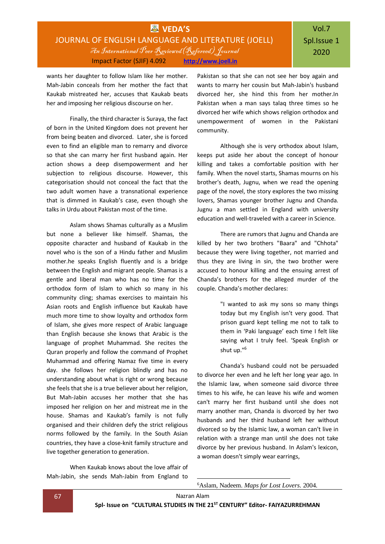wants her daughter to follow Islam like her mother. Mah-Jabin conceals from her mother the fact that Kaukab mistreated her, accuses that Kaukab beats her and imposing her religious discourse on her.

Finally, the third character is Suraya, the fact of born in the United Kingdom does not prevent her from being beaten and divorced. Later, she is forced even to find an eligible man to remarry and divorce so that she can marry her first husband again. Her action shows a deep disempowerment and her subjection to religious discourse. However, this categorisation should not conceal the fact that the two adult women have a transnational experience that is dimmed in Kaukab's case, even though she talks in Urdu about Pakistan most of the time.

Aslam shows Shamas culturally as a Muslim but none a believer like himself. Shamas, the opposite character and husband of Kaukab in the novel who is the son of a Hindu father and Muslim mother.he speaks English fluently and is a bridge between the English and migrant people. Shamas is a gentle and liberal man who has no time for the orthodox form of Islam to which so many in his community cling; shamas exercises to maintain his Asian roots and English influence but Kaukab have much more time to show loyalty and orthodox form of Islam, she gives more respect of Arabic language than English because she knows that Arabic is the language of prophet Muhammad. She recites the Quran properly and follow the command of Prophet Muhammad and offering Namaz five time in every day. she follows her religion blindly and has no understanding about what is right or wrong because she feels that she is a true believer about her religion, But Mah-Jabin accuses her mother that she has imposed her religion on her and mistreat me in the house. Shamas and Kaukab's family is not fully organised and their children defy the strict religious norms followed by the family. In the South Asian countries, they have a close-knit family structure and live together generation to generation.

When Kaukab knows about the love affair of Mah-Jabin, she sends Mah-Jabin from England to Pakistan so that she can not see her boy again and wants to marry her cousin but Mah-Jabin's husband divorced her, she hind this from her mother.In Pakistan when a man says talaq three times so he divorced her wife which shows religion orthodox and unempowerment of women in the Pakistani community.

Although she is very orthodox about Islam, keeps put aside her about the concept of honour killing and takes a comfortable position with her family. When the novel starts, Shamas mourns on his brother's death, Jugnu, when we read the opening page of the novel, the story explores the two missing lovers, Shamas younger brother Jugnu and Chanda. Jugnu a man settled in England with university education and well-traveled with a career in Science.

There are rumors that Jugnu and Chanda are killed by her two brothers "Baara" and "Chhota" because they were living together, not married and thus they are living in sin, the two brother were accused to honour killing and the ensuing arrest of Chanda's brothers for the alleged murder of the couple. Chanda's mother declares:

> "I wanted to ask my sons so many things today but my English isn't very good. That prison guard kept telling me not to talk to them in 'Paki language' each time I felt like saying what I truly feel. 'Speak English or shut up."<sup>6</sup>

Chanda's husband could not be persuaded to divorce her even and he left her long year ago. In the Islamic law, when someone said divorce three times to his wife, he can leave his wife and women can't marry her first husband until she does not marry another man, Chanda is divorced by her two husbands and her third husband left her without divorced so by the Islamic law, a woman can't live in relation with a strange man until she does not take divorce by her previous husband. In Aslam's lexicon, a woman doesn't simply wear earrings,

6Aslam, Nadeem. *Maps for Lost Lovers*. 2004.

-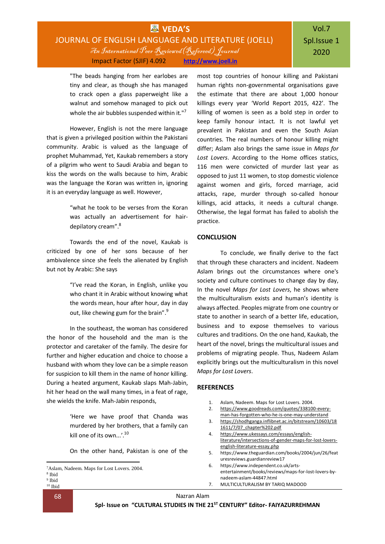### **WVEDA'S** JOURNAL OF ENGLISH LANGUAGE AND LITERATURE (JOELL) An International Peer Reviewed(Refereed) Journal Impact Factor (SJIF) 4.092 **[http://www.joell.in](http://www.joell.in/)**

# Vol.7 Spl.Issue 1 2020

"The beads hanging from her earlobes are tiny and clear, as though she has managed to crack open a glass paperweight like a walnut and somehow managed to pick out whole the air bubbles suspended within it."<sup>7</sup>

However, English is not the mere language that is given a privileged position within the Pakistani community. Arabic is valued as the language of prophet Muhammad, Yet, Kaukab remembers a story of a pilgrim who went to Saudi Arabia and began to kiss the words on the walls because to him, Arabic was the language the Koran was written in, ignoring it is an everyday language as well. However,

> "what he took to be verses from the Koran was actually an advertisement for hairdepilatory cream".<sup>8</sup>

Towards the end of the novel, Kaukab is criticized by one of her sons because of her ambivalence since she feels the alienated by English but not by Arabic: She says

> "I've read the Koran, in English, unlike you who chant it in Arabic without knowing what the words mean, hour after hour, day in day out, like chewing gum for the brain".<sup>9</sup>

In the southeast, the woman has considered the honor of the household and the man is the protector and caretaker of the family. The desire for further and higher education and choice to choose a husband with whom they love can be a simple reason for suspicion to kill them in the name of honor killing. During a heated argument, Kaukab slaps Mah-Jabin, hit her head on the wall many times, in a feat of rage, she wields the knife. Mah-Jabin responds,

> 'Here we have proof that Chanda was murdered by her brothers, that a family can kill one of its own...'.<sup>10</sup>

> On the other hand, Pakistan is one of the

-

68 Nazran Alam

**Spl- Issue on "CULTURAL STUDIES IN THE 21ST CENTURY" Editor- FAIYAZURREHMAN**

human rights non-governmental organisations gave the estimate that there are about 1,000 honour killings every year 'World Report 2015, 422'. The killing of women is seen as a bold step in order to keep family honour intact. It is not lawful yet prevalent in Pakistan and even the South Asian countries. The real numbers of honour killing might differ; Aslam also brings the same issue in *Maps for Lost Lovers*. According to the Home offices statics, 116 men were convicted of murder last year as opposed to just 11 women, to stop domestic violence against women and girls, forced marriage, acid attacks, rape, murder through so-called honour killings, acid attacks, it needs a cultural change. Otherwise, the legal format has failed to abolish the practice.

most top countries of honour killing and Pakistani

### **CONCLUSION**

To conclude, we finally derive to the fact that through these characters and incident. Nadeem Aslam brings out the circumstances where one's society and culture continues to change day by day, In the novel *Maps for Lost Lovers*, he shows where the multiculturalism exists and human's identity is always affected. Peoples migrate from one country or state to another in search of a better life, education, business and to expose themselves to various cultures and traditions. On the one hand, Kaukab, the heart of the novel, brings the multicultural issues and problems of migrating people. Thus, Nadeem Aslam explicitly brings out the multiculturalism in this novel *Maps for Lost Lovers*.

#### **REFERENCES**

- 1. Aslam, Nadeem. Maps for Lost Lovers. 2004.
- 2. [https://www.goodreads.com/quotes/338100-every](https://www.goodreads.com/quotes/338100-every-man-has-forgotten-who-he-is-one-may-understand)[man-has-forgotten-who-he-is-one-may-understand](https://www.goodreads.com/quotes/338100-every-man-has-forgotten-who-he-is-one-may-understand)
- 3. [https://shodhganga.inflibnet.ac.in/bitstream/10603/18](https://shodhganga.inflibnet.ac.in/bitstream/10603/181611/7/07_chapter%202.pdf) [1611/7/07\\_chapter%202.pdf](https://shodhganga.inflibnet.ac.in/bitstream/10603/181611/7/07_chapter%202.pdf)
- 4. [https://www.ukessays.com/essays/english](https://www.ukessays.com/essays/english-literature/intersections-of-gender-maps-for-lost-lovers-english-literature-essay.php)[literature/intersections-of-gender-maps-for-lost-lovers](https://www.ukessays.com/essays/english-literature/intersections-of-gender-maps-for-lost-lovers-english-literature-essay.php)[english-literature-essay.php](https://www.ukessays.com/essays/english-literature/intersections-of-gender-maps-for-lost-lovers-english-literature-essay.php)
- 5. https://www.theguardian.com/books/2004/jun/26/feat uresreviews.guardianreview17 6. https://www.independent.co.uk/arts-
- entertainment/books/reviews/maps-for-lost-lovers-bynadeem-aslam-44847.html 7. MULTICULTURALISM BY TARIQ MADOOD

<sup>7</sup>Aslam, Nadeem. Maps for Lost Lovers. 2004.

<sup>8</sup> Ibid

<sup>9</sup> Ibid

<sup>10</sup> Ibid